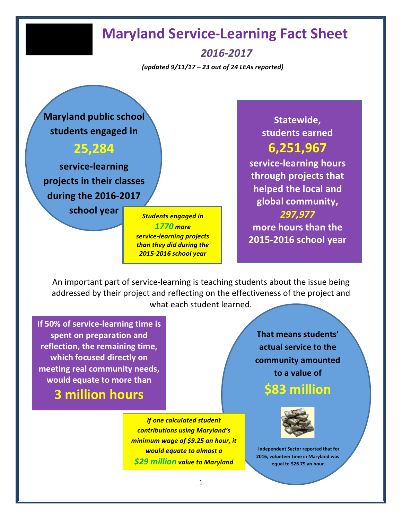# **Maryland Service-Learning Fact Sheet**

*2016-2017*

*(updated 9/11/17 – 23 out of 24 LEAs reported)*

**Maryland public school** students engaged in

#### **25,284**

service-learning projects in their classes **during the 2016-2017** 

school year *Students engaged in* 

**1770** more **service-learning projects** *than they did during the 2015-2016 school year*

**Statewide, students earned 6,251,967** 

**service-learning hours through projects that helped the local and global community,** *297,977*  **more hours than the 2015-2016 school year**

An important part of service-learning is teaching students about the issue being addressed by their project and reflecting on the effectiveness of the project and what each student learned.

**If 50% of service-learning time is** spent on preparation and **reflection, the remaining time, which focused directly on** meeting real community needs, would equate to more than

**3 million hours** 

*If one calculated student contributions using Maryland's minimum* wage of \$9.25 an hour, it *would* equate to almost a *\$29 million value to Maryland* 

That means students' **actual service to the community amounted to a value of** 

**\$83 million** 



**Independent Sector reported that for 2016, volunteer time in Maryland was equal to \$26.79 an hour**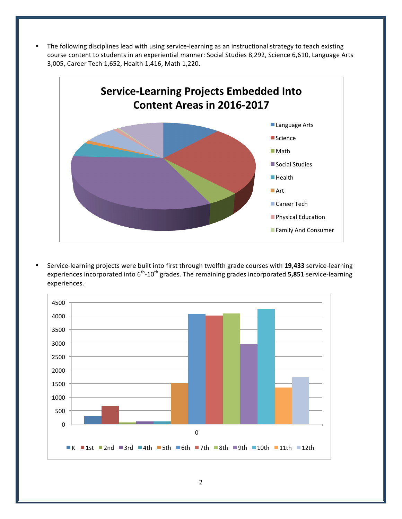The following disciplines lead with using service-learning as an instructional strategy to teach existing course content to students in an experiential manner: Social Studies 8,292, Science 6,610, Language Arts 3,005, Career Tech 1,652, Health 1,416, Math 1,220.



Service-learning projects were built into first through twelfth grade courses with 19,433 service-learning experiences incorporated into 6<sup>th</sup>-10<sup>th</sup> grades. The remaining grades incorporated **5,851** service-learning experiences.

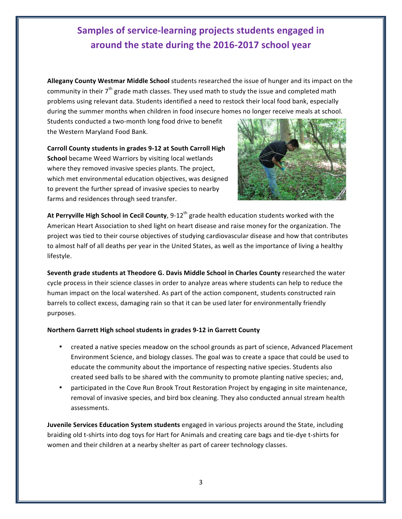#### **Samples of service-learning projects students engaged in** around the state during the 2016-2017 school year

Allegany County Westmar Middle School students researched the issue of hunger and its impact on the community in their  $7<sup>th</sup>$  grade math classes. They used math to study the issue and completed math problems using relevant data. Students identified a need to restock their local food bank, especially during the summer months when children in food insecure homes no longer receive meals at school.

Students conducted a two-month long food drive to benefit the Western Maryland Food Bank.

**Carroll County students in grades 9-12 at South Carroll High School** became Weed Warriors by visiting local wetlands where they removed invasive species plants. The project, which met environmental education objectives, was designed to prevent the further spread of invasive species to nearby farms and residences through seed transfer.



At Perryville High School in Cecil County, 9-12<sup>th</sup> grade health education students worked with the American Heart Association to shed light on heart disease and raise money for the organization. The project was tied to their course objectives of studying cardiovascular disease and how that contributes to almost half of all deaths per year in the United States, as well as the importance of living a healthy lifestyle.

**Seventh grade students at Theodore G. Davis Middle School in Charles County** researched the water cycle process in their science classes in order to analyze areas where students can help to reduce the human impact on the local watershed. As part of the action component, students constructed rain barrels to collect excess, damaging rain so that it can be used later for environmentally friendly purposes.

#### **Northern Garrett High school students in grades 9-12 in Garrett County**

- created a native species meadow on the school grounds as part of science, Advanced Placement Environment Science, and biology classes. The goal was to create a space that could be used to educate the community about the importance of respecting native species. Students also created seed balls to be shared with the community to promote planting native species; and,
- participated in the Cove Run Brook Trout Restoration Project by engaging in site maintenance, removal of invasive species, and bird box cleaning. They also conducted annual stream health assessments.

**Juvenile Services Education System students** engaged in various projects around the State, including braiding old t-shirts into dog toys for Hart for Animals and creating care bags and tie-dye t-shirts for women and their children at a nearby shelter as part of career technology classes.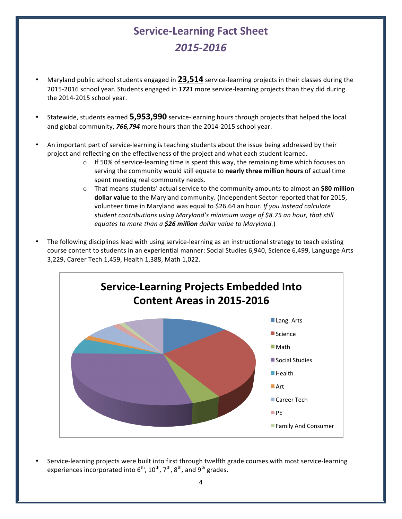### **Service-Learning Fact Sheet** *2015-2016*

- Maryland public school students engaged in 23,514 service-learning projects in their classes during the 2015-2016 school year. Students engaged in 1721 more service-learning projects than they did during the 2014-2015 school year.
- Statewide, students earned **5,953,990** service-learning hours through projects that helped the local and global community, **766,794** more hours than the 2014-2015 school year.
- An important part of service-learning is teaching students about the issue being addressed by their project and reflecting on the effectiveness of the project and what each student learned.
	- $\circ$  If 50% of service-learning time is spent this way, the remaining time which focuses on serving the community would still equate to **nearly three million hours** of actual time spent meeting real community needs.
	- $\circ$  That means students' actual service to the community amounts to almost an **\$80 million dollar value** to the Maryland community. (Independent Sector reported that for 2015, volunteer time in Maryland was equal to \$26.64 an hour. If you instead calculate student contributions using Maryland's minimum wage of \$8.75 an hour, that still *equates to more than a* \$26 million *dollar value to Maryland.*)
- The following disciplines lead with using service-learning as an instructional strategy to teach existing course content to students in an experiential manner: Social Studies 6,940, Science 6,499, Language Arts 3,229, Career Tech 1,459, Health 1,388, Math 1,022.



Service-learning projects were built into first through twelfth grade courses with most service-learning experiences incorporated into  $6^{th}$ ,  $10^{th}$ ,  $7^{th}$ ,  $8^{th}$ , and  $9^{th}$  grades.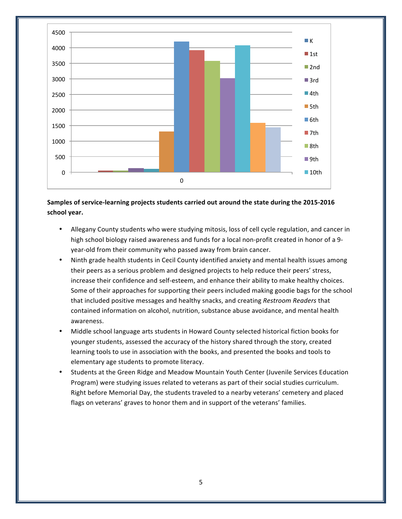

#### Samples of service-learning projects students carried out around the state during the 2015-2016 **school year.**

- Allegany County students who were studying mitosis, loss of cell cycle regulation, and cancer in high school biology raised awareness and funds for a local non-profit created in honor of a 9year-old from their community who passed away from brain cancer.
- Ninth grade health students in Cecil County identified anxiety and mental health issues among their peers as a serious problem and designed projects to help reduce their peers' stress, increase their confidence and self-esteem, and enhance their ability to make healthy choices. Some of their approaches for supporting their peers included making goodie bags for the school that included positive messages and healthy snacks, and creating *Restroom Readers* that contained information on alcohol, nutrition, substance abuse avoidance, and mental health awareness.
- Middle school language arts students in Howard County selected historical fiction books for younger students, assessed the accuracy of the history shared through the story, created learning tools to use in association with the books, and presented the books and tools to elementary age students to promote literacy.
- Students at the Green Ridge and Meadow Mountain Youth Center (Juvenile Services Education Program) were studying issues related to veterans as part of their social studies curriculum. Right before Memorial Day, the students traveled to a nearby veterans' cemetery and placed flags on veterans' graves to honor them and in support of the veterans' families.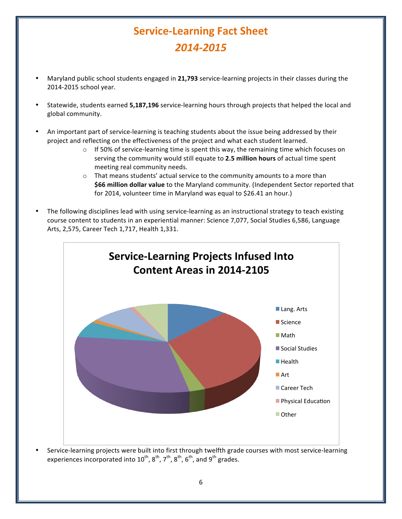# **Service-Learning Fact Sheet** *2014-2015*

- Maryland public school students engaged in 21,793 service-learning projects in their classes during the 2014-2015 school year.
- Statewide, students earned **5,187,196** service-learning hours through projects that helped the local and global community.
- An important part of service-learning is teaching students about the issue being addressed by their project and reflecting on the effectiveness of the project and what each student learned.
	- $\circ$  If 50% of service-learning time is spent this way, the remaining time which focuses on serving the community would still equate to 2.5 million hours of actual time spent meeting real community needs.
	- $\circ$  That means students' actual service to the community amounts to a more than **\$66 million dollar value** to the Maryland community. (Independent Sector reported that for 2014, volunteer time in Maryland was equal to \$26.41 an hour.)
- The following disciplines lead with using service-learning as an instructional strategy to teach existing course content to students in an experiential manner: Science 7,077, Social Studies 6,586, Language Arts, 2,575, Career Tech 1,717, Health 1,331.



Service-learning projects were built into first through twelfth grade courses with most service-learning experiences incorporated into  $10^{th}$ ,  $8^{th}$ ,  $7^{th}$ ,  $8^{th}$ ,  $6^{th}$ , and  $9^{th}$  grades.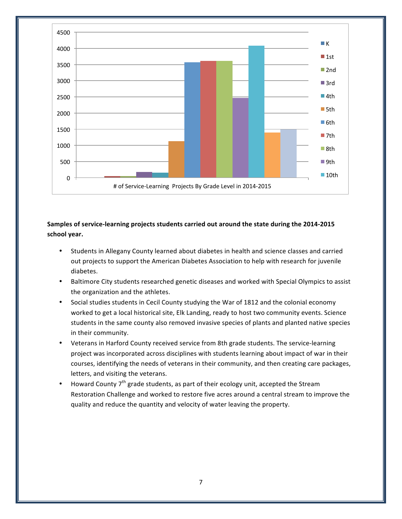

Samples of service-learning projects students carried out around the state during the 2014-2015 **school year.**

- Students in Allegany County learned about diabetes in health and science classes and carried out projects to support the American Diabetes Association to help with research for juvenile diabetes.
- Baltimore City students researched genetic diseases and worked with Special Olympics to assist the organization and the athletes.
- Social studies students in Cecil County studying the War of 1812 and the colonial economy worked to get a local historical site, Elk Landing, ready to host two community events. Science students in the same county also removed invasive species of plants and planted native species in their community.
- Veterans in Harford County received service from 8th grade students. The service-learning project was incorporated across disciplines with students learning about impact of war in their courses, identifying the needs of veterans in their community, and then creating care packages, letters, and visiting the veterans.
- Howard County  $7<sup>th</sup>$  grade students, as part of their ecology unit, accepted the Stream Restoration Challenge and worked to restore five acres around a central stream to improve the quality and reduce the quantity and velocity of water leaving the property.